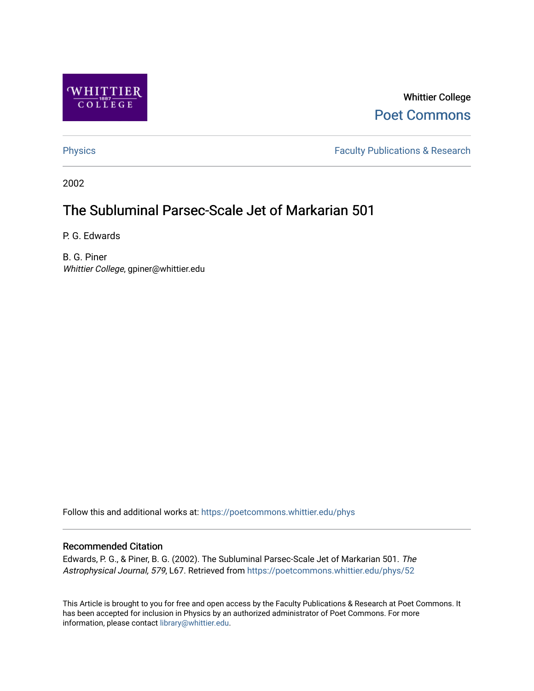

Whittier College [Poet Commons](https://poetcommons.whittier.edu/) 

[Physics](https://poetcommons.whittier.edu/phys) **Faculty Publications & Research Physics Faculty Publications & Research** 

2002

# The Subluminal Parsec-Scale Jet of Markarian 501

P. G. Edwards

B. G. Piner Whittier College, gpiner@whittier.edu

Follow this and additional works at: [https://poetcommons.whittier.edu/phys](https://poetcommons.whittier.edu/phys?utm_source=poetcommons.whittier.edu%2Fphys%2F52&utm_medium=PDF&utm_campaign=PDFCoverPages)

## Recommended Citation

Edwards, P. G., & Piner, B. G. (2002). The Subluminal Parsec-Scale Jet of Markarian 501. The Astrophysical Journal, 579, L67. Retrieved from [https://poetcommons.whittier.edu/phys/52](https://poetcommons.whittier.edu/phys/52?utm_source=poetcommons.whittier.edu%2Fphys%2F52&utm_medium=PDF&utm_campaign=PDFCoverPages)

This Article is brought to you for free and open access by the Faculty Publications & Research at Poet Commons. It has been accepted for inclusion in Physics by an authorized administrator of Poet Commons. For more information, please contact [library@whittier.edu.](mailto:library@whittier.edu)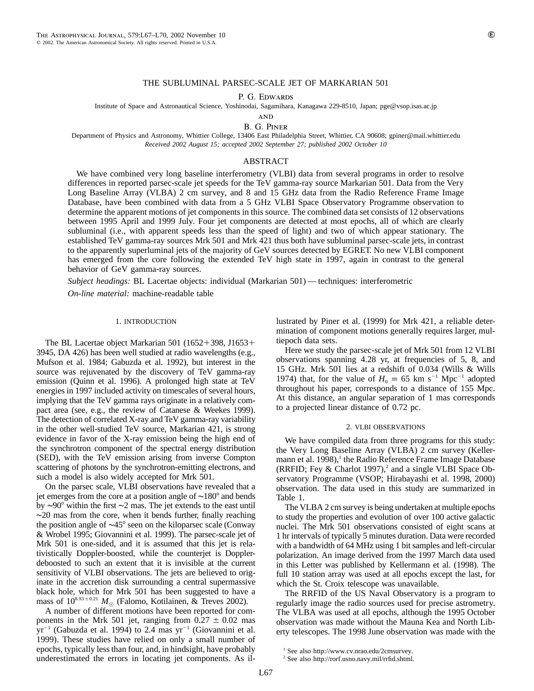### THE SUBLUMINAL PARSEC-SCALE JET OF MARKARIAN 501

P. G. EDWARDS

Institute of Space and Astronautical Science, Yoshinodai, Sagamihara, Kanagawa 229-8510, Japan; pge@vsop.isas.ac.jp

**AND** 

B. G. Piner

Department of Physics and Astronomy, Whittier College, 13406 East Philadelphia Street, Whittier, CA 90608; gpiner@mail.whittier.edu *Received 2002 August 15; accepted 2002 September 27; published 2002 October 10*

#### ABSTRACT

We have combined very long baseline interferometry (VLBI) data from several programs in order to resolve differences in reported parsec-scale jet speeds for the TeV gamma-ray source Markarian 501. Data from the Very Long Baseline Array (VLBA) 2 cm survey, and 8 and 15 GHz data from the Radio Reference Frame Image Database, have been combined with data from a 5 GHz VLBI Space Observatory Programme observation to determine the apparent motions of jet components in this source. The combined data set consists of 12 observations between 1995 April and 1999 July. Four jet components are detected at most epochs, all of which are clearly subluminal (i.e., with apparent speeds less than the speed of light) and two of which appear stationary. The established TeV gamma-ray sources Mrk 501 and Mrk 421 thus both have subluminal parsec-scale jets, in contrast to the apparently superluminal jets of the majority of GeV sources detected by EGRET. No new VLBI component has emerged from the core following the extended TeV high state in 1997, again in contrast to the general behavior of GeV gamma-ray sources.

*Subject headings:* BL Lacertae objects: individual (Markarian 501) — techniques: interferometric

*On-line material:* machine-readable table

#### 1. INTRODUCTION

The BL Lacertae object Markarian  $501$  (1652+398, J1653+ 3945, DA 426) has been well studied at radio wavelengths (e.g., Mufson et al. 1984; Gabuzda et al. 1992), but interest in the source was rejuvenated by the discovery of TeV gamma-ray emission (Quinn et al. 1996). A prolonged high state at TeV energies in 1997 included activity on timescales of several hours, implying that the TeV gamma rays originate in a relatively compact area (see, e.g., the review of Catanese & Weekes 1999). The detection of correlated X-ray and TeV gamma-ray variability in the other well-studied TeV source, Markarian 421, is strong evidence in favor of the X-ray emission being the high end of the synchrotron component of the spectral energy distribution (SED), with the TeV emission arising from inverse Compton scattering of photons by the synchrotron-emitting electrons, and such a model is also widely accepted for Mrk 501.

On the parsec scale, VLBI observations have revealed that a jet emerges from the core at a position angle of ~180° and bends by ∼90° within the first ∼2 mas. The jet extends to the east until  $~\sim$ 20 mas from the core, when it bends further, finally reaching the position angle of ~45° seen on the kiloparsec scale (Conway & Wrobel 1995; Giovannini et al. 1999). The parsec-scale jet of Mrk 501 is one-sided, and it is assumed that this jet is relativistically Doppler-boosted, while the counterjet is Dopplerdeboosted to such an extent that it is invisible at the current sensitivity of VLBI observations. The jets are believed to originate in the accretion disk surrounding a central supermassive black hole, which for Mrk 501 has been suggested to have a mass of  $10^{8.93 \pm 0.21}$   $M_{\odot}$  (Falomo, Kotilainen, & Treves 2002).

A number of different motions have been reported for components in the Mrk 501 jet, ranging from  $0.27 \pm 0.02$  mas  $yr^{-1}$  (Gabuzda et al. 1994) to 2.4 mas  $yr^{-1}$  (Giovannini et al. 1999). These studies have relied on only a small number of epochs, typically less than four, and, in hindsight, have probably underestimated the errors in locating jet components. As illustrated by Piner et al. (1999) for Mrk 421, a reliable determination of component motions generally requires larger, multiepoch data sets.

Here we study the parsec-scale jet of Mrk 501 from 12 VLBI observations spanning 4.28 yr, at frequencies of 5, 8, and 15 GHz. Mrk 501 lies at a redshift of 0.034 (Wills & Wills 1974) that, for the value of  $H_0 = 65$  km s<sup>-1</sup> Mpc<sup>-1</sup> adopted throughout his paper, corresponds to a distance of 155 Mpc. At this distance, an angular separation of 1 mas corresponds to a projected linear distance of 0.72 pc.

#### 2. VLBI OBSERVATIONS

We have compiled data from three programs for this study: the Very Long Baseline Array (VLBA) 2 cm survey (Kellermann et al. 1998), $<sup>1</sup>$  the Radio Reference Frame Image Database</sup> (RRFID; Fey & Charlot 1997),<sup>2</sup> and a single VLBI Space Observatory Programme (VSOP; Hirabayashi et al. 1998, 2000) observation. The data used in this study are summarized in Table 1.

The VLBA 2 cm survey is being undertaken at multiple epochs to study the properties and evolution of over 100 active galactic nuclei. The Mrk 501 observations consisted of eight scans at 1 hr intervals of typically 5 minutes duration. Data were recorded with a bandwidth of 64 MHz using 1 bit samples and left-circular polarization. An image derived from the 1997 March data used in this Letter was published by Kellermann et al. (1998). The full 10 station array was used at all epochs except the last, for which the St. Croix telescope was unavailable.

The RRFID of the US Naval Observatory is a program to regularly image the radio sources used for precise astrometry. The VLBA was used at all epochs, although the 1995 October observation was made without the Mauna Kea and North Liberty telescopes. The 1998 June observation was made with the

<sup>1</sup> See also http://www.cv.nrao.edu/2cmsurvey.

<sup>2</sup> See also http://rorf.usno.navy.mil/rrfid.shtml.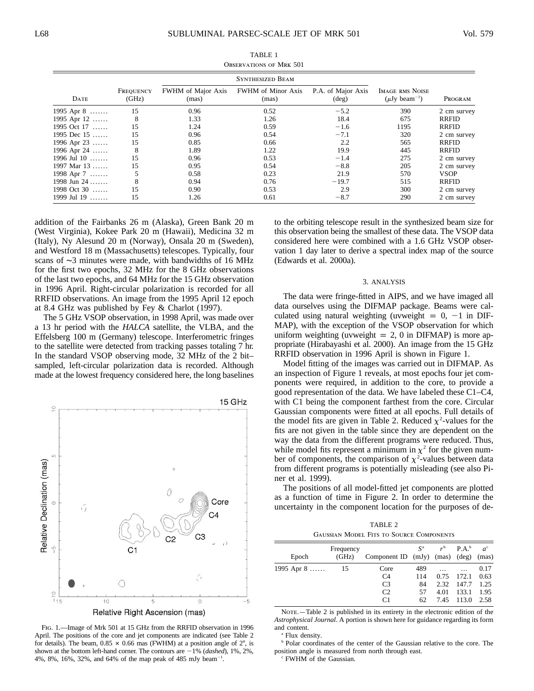| <b>OBSERVATIONS OF MRK 501</b> |                    |                                    |                                    |                                      |                                                          |              |  |  |  |  |  |
|--------------------------------|--------------------|------------------------------------|------------------------------------|--------------------------------------|----------------------------------------------------------|--------------|--|--|--|--|--|
| <b>SYNTHESIZED BEAM</b>        |                    |                                    |                                    |                                      |                                                          |              |  |  |  |  |  |
| <b>DATE</b>                    | FREQUENCY<br>(GHz) | <b>FWHM</b> of Major Axis<br>(mas) | <b>FWHM</b> of Minor Axis<br>(mas) | P.A. of Major Axis<br>$(\text{deg})$ | <b>IMAGE RMS NOISE</b><br>$(\mu Jy$ beam <sup>-1</sup> ) | PROGRAM      |  |  |  |  |  |
| 1995 Apr $8$                   | 15                 | 0.96                               | 0.52                               | $-5.2$                               | 390                                                      | 2 cm survey  |  |  |  |  |  |
| 1995 Apr $12$                  | 8                  | 1.33                               | 1.26                               | 18.4                                 | 675                                                      | RRFID        |  |  |  |  |  |
| 1995 Oct 17                    | 15                 | 1.24                               | 0.59                               | $-1.6$                               | 1195                                                     | RRFID        |  |  |  |  |  |
| 1995 Dec $15$                  | 15                 | 0.96                               | 0.54                               | $-7.1$                               | 320                                                      | 2 cm survey  |  |  |  |  |  |
| 1996 Apr 23                    | 15                 | 0.85                               | 0.66                               | 2.2                                  | 565                                                      | RRFID        |  |  |  |  |  |
| 1996 Apr 24                    | 8                  | 1.89                               | 1.22                               | 19.9                                 | 445                                                      | <b>RRFID</b> |  |  |  |  |  |
| 1996 Jul 10                    | 15                 | 0.96                               | 0.53                               | $-1.4$                               | 275                                                      | 2 cm survey  |  |  |  |  |  |
| 1997 Mar 13                    | 15                 | 0.95                               | 0.54                               | $-8.8$                               | 205                                                      | 2 cm survey  |  |  |  |  |  |
| 1998 Apr $7$                   |                    | 0.58                               | 0.23                               | 21.9                                 | 570                                                      | <b>VSOP</b>  |  |  |  |  |  |
| 1998 Jun 24 $\dots$            | 8                  | 0.94                               | 0.76                               | $-19.7$                              | 515                                                      | <b>RRFID</b> |  |  |  |  |  |
| 1998 Oct 30                    | 15                 | 0.90                               | 0.53                               | 2.9                                  | 300                                                      | 2 cm survey  |  |  |  |  |  |
| 1999 Jul 19                    | 15                 | 1.26                               | 0.61                               | $-8.7$                               | 290                                                      | 2 cm survey  |  |  |  |  |  |

TABLE 1

addition of the Fairbanks 26 m (Alaska), Green Bank 20 m (West Virginia), Kokee Park 20 m (Hawaii), Medicina 32 m (Italy), Ny Alesund 20 m (Norway), Onsala 20 m (Sweden), and Westford 18 m (Massachusetts) telescopes. Typically, four scans of ∼3 minutes were made, with bandwidths of 16 MHz for the first two epochs, 32 MHz for the 8 GHz observations of the last two epochs, and 64 MHz for the 15 GHz observation in 1996 April. Right-circular polarization is recorded for all RRFID observations. An image from the 1995 April 12 epoch at 8.4 GHz was published by Fey & Charlot (1997).

The 5 GHz VSOP observation, in 1998 April, was made over a 13 hr period with the *HALCA* satellite, the VLBA, and the Effelsberg 100 m (Germany) telescope. Interferometric fringes to the satellite were detected from tracking passes totaling 7 hr. In the standard VSOP observing mode, 32 MHz of the 2 bit– sampled, left-circular polarization data is recorded. Although made at the lowest frequency considered here, the long baselines



Fig. 1.—Image of Mrk 501 at 15 GHz from the RRFID observation in 1996 April. The positions of the core and jet components are indicated (see Table 2 for details). The beam,  $0.85 \times 0.66$  mas (FWHM) at a position angle of  $2^{\circ}$ , is shown at the bottom left-hand corner. The contours are  $-1\%$  (*dashed*), 1%, 2%, 4%, 8%, 16%, 32%, and 64% of the map peak of 485 mJy beam<sup>-1</sup>.

to the orbiting telescope result in the synthesized beam size for this observation being the smallest of these data. The VSOP data considered here were combined with a 1.6 GHz VSOP observation 1 day later to derive a spectral index map of the source (Edwards et al. 2000a).

#### 3. ANALYSIS

The data were fringe-fitted in AIPS, and we have imaged all data ourselves using the DIFMAP package. Beams were calculated using natural weighting (uvweight =  $0$ , -1 in DIF-MAP), with the exception of the VSOP observation for which uniform weighting (uvweight  $= 2, 0$  in DIFMAP) is more appropriate (Hirabayashi et al. 2000). An image from the 15 GHz RRFID observation in 1996 April is shown in Figure 1.

Model fitting of the images was carried out in DIFMAP. As an inspection of Figure 1 reveals, at most epochs four jet components were required, in addition to the core, to provide a good representation of the data. We have labeled these C1–C4, with C1 being the component farthest from the core. Circular Gaussian components were fitted at all epochs. Full details of the model fits are given in Table 2. Reduced  $\chi^2$ -values for the fits are not given in the table since they are dependent on the way the data from the different programs were reduced. Thus, while model fits represent a minimum in  $\chi^2$  for the given number of components, the comparison of  $\chi^2$ -values between data from different programs is potentially misleading (see also Piner et al. 1999).

The positions of all model-fitted jet components are plotted as a function of time in Figure 2. In order to determine the uncertainty in the component location for the purposes of de-

TABLE 2 Gaussian Model Fits to Source Components

| Epoch                 | Frequency<br>(GHz) | Component ID $(mJy)$ $(mas)$ $(deg)$ $(mas)$ | $S^{\rm a}$ |          | $rb$ P.A. <sup>b</sup> | $a^{\rm c}$ |
|-----------------------|--------------------|----------------------------------------------|-------------|----------|------------------------|-------------|
| 1995 Apr $8 \ldots$ . | 15                 | Core                                         | 489         | $\cdots$ |                        | 0.17        |
|                       |                    | C <sub>4</sub>                               | 114         | 0.75     | 172.1                  | 0.63        |
|                       |                    | C <sub>3</sub>                               | 84          | 2.32     | 147.7                  | 1.25        |
|                       |                    | C <sub>2</sub>                               | 57          | 4.01     | 133.1                  | 1.95        |
|                       |                    | C <sub>1</sub>                               | 62          | 7.45     | 113.0                  | 2.58        |

NOTE.—Table 2 is published in its entirety in the electronic edition of the *Astrophysical Journal*. A portion is shown here for guidance regarding its form and content.

<sup>a</sup> Flux density.

<sup>b</sup> Polar coordinates of the center of the Gaussian relative to the core. The position angle is measured from north through east.

<sup>c</sup> FWHM of the Gaussian.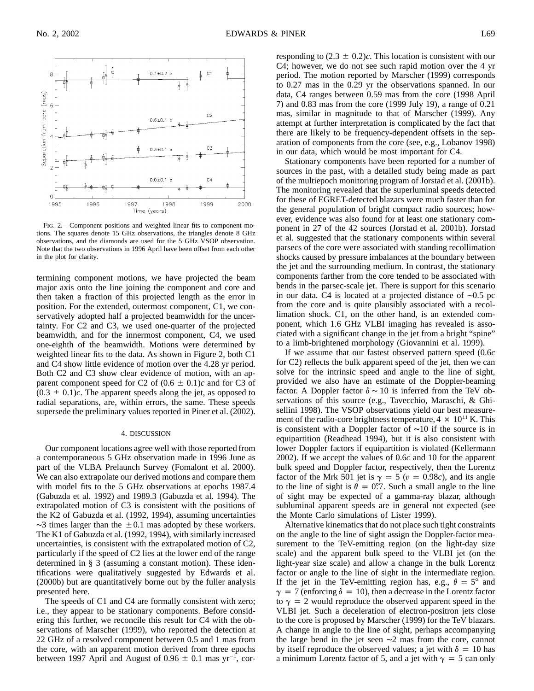

Fig. 2.—Component positions and weighted linear fits to component motions. The squares denote 15 GHz observations, the triangles denote 8 GHz observations, and the diamonds are used for the 5 GHz VSOP observation. Note that the two observations in 1996 April have been offset from each other in the plot for clarity.

termining component motions, we have projected the beam major axis onto the line joining the component and core and then taken a fraction of this projected length as the error in position. For the extended, outermost component, C1, we conservatively adopted half a projected beamwidth for the uncertainty. For C2 and C3, we used one-quarter of the projected beamwidth, and for the innermost component, C4, we used one-eighth of the beamwidth. Motions were determined by weighted linear fits to the data. As shown in Figure 2, both C1 and C4 show little evidence of motion over the 4.28 yr period. Both C2 and C3 show clear evidence of motion, with an apparent component speed for C2 of  $(0.6 \pm 0.1)c$  and for C3 of  $(0.3 \pm 0.1)c$ . The apparent speeds along the jet, as opposed to radial separations, are, within errors, the same. These speeds supersede the preliminary values reported in Piner et al. (2002).

#### 4. DISCUSSION

Our component locations agree well with those reported from a contemporaneous 5 GHz observation made in 1996 June as part of the VLBA Prelaunch Survey (Fomalont et al. 2000). We can also extrapolate our derived motions and compare them with model fits to the 5 GHz observations at epochs 1987.4 (Gabuzda et al. 1992) and 1989.3 (Gabuzda et al. 1994). The extrapolated motion of C3 is consistent with the positions of the K2 of Gabuzda et al. (1992, 1994), assuming uncertainties  $\sim$ 3 times larger than the  $\pm$  0.1 mas adopted by these workers. The K1 of Gabuzda et al. (1992, 1994), with similarly increased uncertainties, is consistent with the extrapolated motion of C2, particularly if the speed of C2 lies at the lower end of the range determined in § 3 (assuming a constant motion). These identifications were qualitatively suggested by Edwards et al. (2000b) but are quantitatively borne out by the fuller analysis presented here.

The speeds of C1 and C4 are formally consistent with zero; i.e., they appear to be stationary components. Before considering this further, we reconcile this result for C4 with the observations of Marscher (1999), who reported the detection at 22 GHz of a resolved component between 0.5 and 1 mas from the core, with an apparent motion derived from three epochs between 1997 April and August of  $0.96 \pm 0.1$  mas yr<sup>-1</sup>, corresponding to  $(2.3 \pm 0.2)c$ . This location is consistent with our C4; however, we do not see such rapid motion over the 4 yr period. The motion reported by Marscher (1999) corresponds to 0.27 mas in the 0.29 yr the observations spanned. In our data, C4 ranges between 0.59 mas from the core (1998 April 7) and 0.83 mas from the core (1999 July 19), a range of 0.21 mas, similar in magnitude to that of Marscher (1999). Any attempt at further interpretation is complicated by the fact that there are likely to be frequency-dependent offsets in the separation of components from the core (see, e.g., Lobanov 1998) in our data, which would be most important for C4.

Stationary components have been reported for a number of sources in the past, with a detailed study being made as part of the multiepoch monitoring program of Jorstad et al. (2001b). The monitoring revealed that the superluminal speeds detected for these of EGRET-detected blazars were much faster than for the general population of bright compact radio sources; however, evidence was also found for at least one stationary component in 27 of the 42 sources (Jorstad et al. 2001b). Jorstad et al. suggested that the stationary components within several parsecs of the core were associated with standing recollimation shocks caused by pressure imbalances at the boundary between the jet and the surrounding medium. In contrast, the stationary components farther from the core tended to be associated with bends in the parsec-scale jet. There is support for this scenario in our data. C4 is located at a projected distance of ∼0.5 pc from the core and is quite plausibly associated with a recollimation shock. C1, on the other hand, is an extended component, which 1.6 GHz VLBI imaging has revealed is associated with a significant change in the jet from a bright "spine" to a limb-brightened morphology (Giovannini et al. 1999).

If we assume that our fastest observed pattern speed (0.6*c* for C2) reflects the bulk apparent speed of the jet, then we can solve for the intrinsic speed and angle to the line of sight, provided we also have an estimate of the Doppler-beaming factor. A Doppler factor  $\delta \sim 10$  is inferred from the TeV observations of this source (e.g., Tavecchio, Maraschi, & Ghisellini 1998). The VSOP observations yield our best measurement of the radio-core brightness temperature,  $4 \times 10^{11}$  K. This is consistent with a Doppler factor of ∼10 if the source is in equipartition (Readhead 1994), but it is also consistent with lower Doppler factors if equipartition is violated (Kellermann 2002). If we accept the values of 0.6*c* and 10 for the apparent bulk speed and Doppler factor, respectively, then the Lorentz factor of the Mrk 501 jet is  $\gamma = 5$  ( $v = 0.98c$ ), and its angle to the line of sight is  $\ddot{\theta} = 0.7$ . Such a small angle to the line of sight may be expected of a gamma-ray blazar, although subluminal apparent speeds are in general not expected (see the Monte Carlo simulations of Lister 1999).

Alternative kinematics that do not place such tight constraints on the angle to the line of sight assign the Doppler-factor measurement to the TeV-emitting region (on the light-day size scale) and the apparent bulk speed to the VLBI jet (on the light-year size scale) and allow a change in the bulk Lorentz factor or angle to the line of sight in the intermediate region. If the jet in the TeV-emitting region has, e.g.,  $\theta = 5^\circ$  and  $\gamma = 7$  (enforcing  $\delta = 10$ ), then a decrease in the Lorentz factor to  $\gamma = 2$  would reproduce the observed apparent speed in the VLBI jet. Such a deceleration of electron-positron jets close to the core is proposed by Marscher (1999) for the TeV blazars. A change in angle to the line of sight, perhaps accompanying the large bend in the jet seen ∼2 mas from the core, cannot by itself reproduce the observed values; a jet with  $\delta = 10$  has a minimum Lorentz factor of 5, and a jet with  $\gamma = 5$  can only